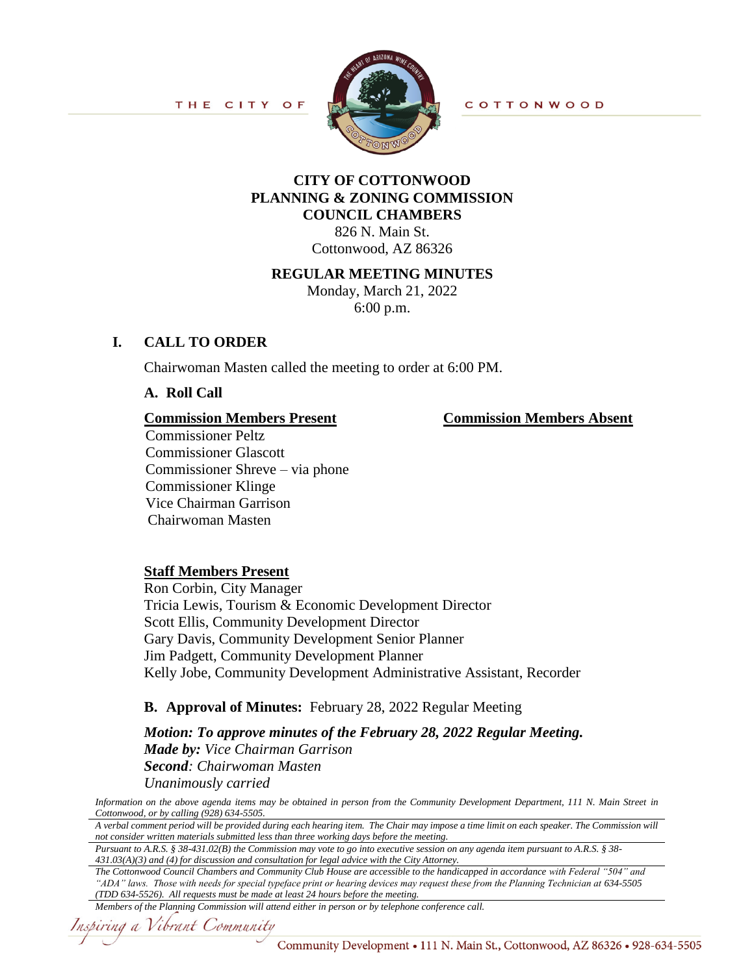

**COTTONWOOD** 

# **CITY OF COTTONWOOD PLANNING & ZONING COMMISSION COUNCIL CHAMBERS**

826 N. Main St. Cottonwood, AZ 86326

### **REGULAR MEETING MINUTES**

Monday, March 21, 2022 6:00 p.m.

## **I. CALL TO ORDER**

Chairwoman Masten called the meeting to order at 6:00 PM.

**A. Roll Call**

### **Commission Members Present Commission Members Absent**

Commissioner Peltz Commissioner Glascott Commissioner Shreve – via phone Commissioner Klinge Vice Chairman Garrison Chairwoman Masten

## **Staff Members Present**

Ron Corbin, City Manager Tricia Lewis, Tourism & Economic Development Director Scott Ellis, Community Development Director Gary Davis, Community Development Senior Planner Jim Padgett, Community Development Planner Kelly Jobe, Community Development Administrative Assistant, Recorder

## **B. Approval of Minutes:** February 28, 2022 Regular Meeting

*Motion: To approve minutes of the February 28, 2022 Regular Meeting. Made by: Vice Chairman Garrison Second: Chairwoman Masten Unanimously carried*

*Information on the above agenda items may be obtained in person from the Community Development Department, 111 N. Main Street in Cottonwood, or by calling (928) 634-5505.*

*A verbal comment period will be provided during each hearing item. The Chair may impose a time limit on each speaker. The Commission will not consider written materials submitted less than three working days before the meeting.*

*Pursuant to A.R.S. § 38-431.02(B) the Commission may vote to go into executive session on any agenda item pursuant to A.R.S. § 38- 431.03(A)(3) and (4) for discussion and consultation for legal advice with the City Attorney.*

*The Cottonwood Council Chambers and Community Club House are accessible to the handicapped in accordance with Federal "504" and "ADA" laws. Those with needs for special typeface print or hearing devices may request these from the Planning Technician at 634-5505 (TDD 634-5526). All requests must be made at least 24 hours before the meeting.*

#### *Members of the Planning Commission will attend either in person or by telephone conference call.*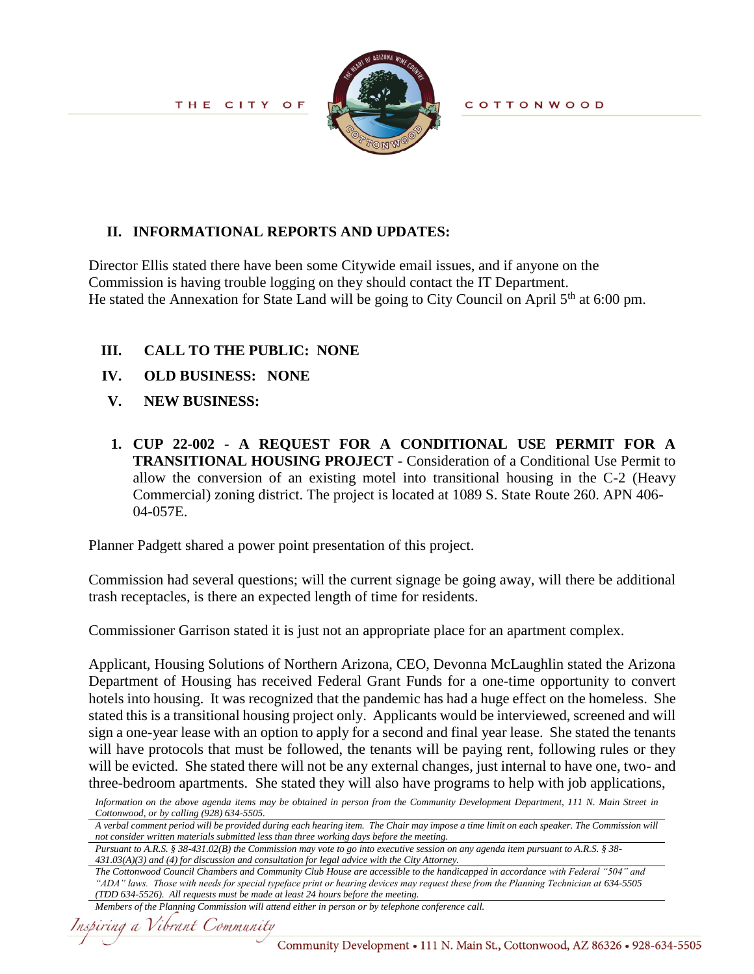

**COTTONWOOD** 

# **II. INFORMATIONAL REPORTS AND UPDATES:**

Director Ellis stated there have been some Citywide email issues, and if anyone on the Commission is having trouble logging on they should contact the IT Department. He stated the Annexation for State Land will be going to City Council on April 5<sup>th</sup> at 6:00 pm.

## **III. CALL TO THE PUBLIC: NONE**

- **IV. OLD BUSINESS:****NONE**
- **V. NEW BUSINESS:**
- **1. CUP 22-002 - A REQUEST FOR A CONDITIONAL USE PERMIT FOR A TRANSITIONAL HOUSING PROJECT -** Consideration of a Conditional Use Permit to allow the conversion of an existing motel into transitional housing in the C-2 (Heavy Commercial) zoning district. The project is located at 1089 S. State Route 260. APN 406- 04-057E.

Planner Padgett shared a power point presentation of this project.

Commission had several questions; will the current signage be going away, will there be additional trash receptacles, is there an expected length of time for residents.

Commissioner Garrison stated it is just not an appropriate place for an apartment complex.

Applicant, Housing Solutions of Northern Arizona, CEO, Devonna McLaughlin stated the Arizona Department of Housing has received Federal Grant Funds for a one-time opportunity to convert hotels into housing. It was recognized that the pandemic has had a huge effect on the homeless. She stated this is a transitional housing project only. Applicants would be interviewed, screened and will sign a one-year lease with an option to apply for a second and final year lease. She stated the tenants will have protocols that must be followed, the tenants will be paying rent, following rules or they will be evicted. She stated there will not be any external changes, just internal to have one, two- and three-bedroom apartments. She stated they will also have programs to help with job applications,

*Information on the above agenda items may be obtained in person from the Community Development Department, 111 N. Main Street in Cottonwood, or by calling (928) 634-5505.*

*A verbal comment period will be provided during each hearing item. The Chair may impose a time limit on each speaker. The Commission will not consider written materials submitted less than three working days before the meeting.*

*Pursuant to A.R.S. § 38-431.02(B) the Commission may vote to go into executive session on any agenda item pursuant to A.R.S. § 38- 431.03(A)(3) and (4) for discussion and consultation for legal advice with the City Attorney.*

*The Cottonwood Council Chambers and Community Club House are accessible to the handicapped in accordance with Federal "504" and "ADA" laws. Those with needs for special typeface print or hearing devices may request these from the Planning Technician at 634-5505 (TDD 634-5526). All requests must be made at least 24 hours before the meeting.*

*Members of the Planning Commission will attend either in person or by telephone conference call.*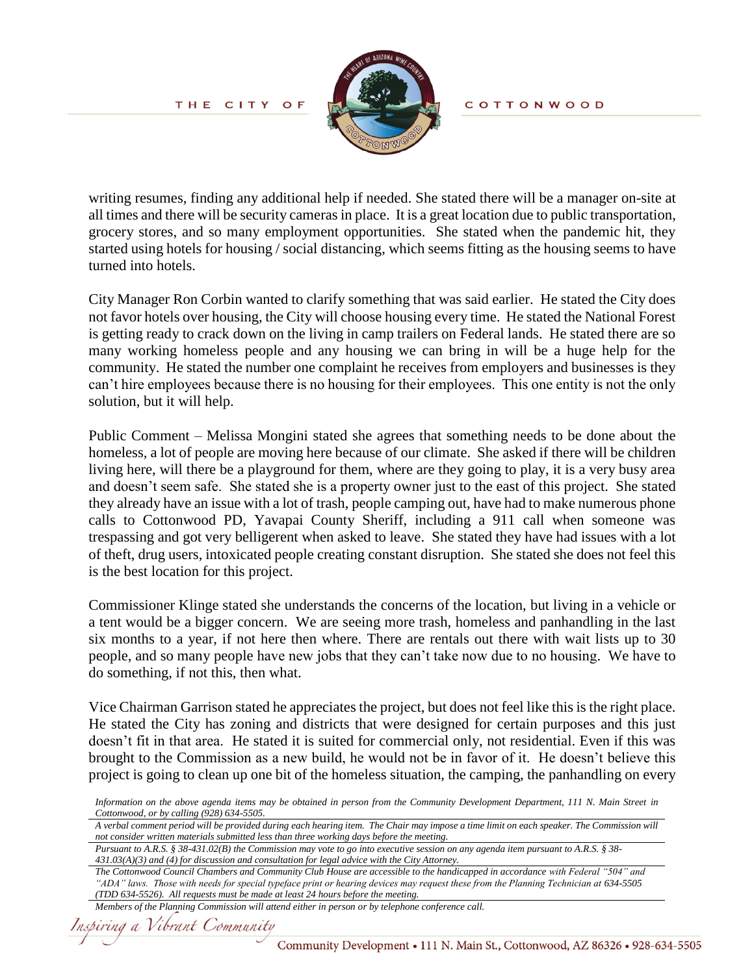

**COTTONWOOD** 

writing resumes, finding any additional help if needed. She stated there will be a manager on-site at all times and there will be security cameras in place. It is a great location due to public transportation, grocery stores, and so many employment opportunities. She stated when the pandemic hit, they started using hotels for housing / social distancing, which seems fitting as the housing seems to have turned into hotels.

City Manager Ron Corbin wanted to clarify something that was said earlier. He stated the City does not favor hotels over housing, the City will choose housing every time. He stated the National Forest is getting ready to crack down on the living in camp trailers on Federal lands. He stated there are so many working homeless people and any housing we can bring in will be a huge help for the community. He stated the number one complaint he receives from employers and businesses is they can't hire employees because there is no housing for their employees. This one entity is not the only solution, but it will help.

Public Comment – Melissa Mongini stated she agrees that something needs to be done about the homeless, a lot of people are moving here because of our climate. She asked if there will be children living here, will there be a playground for them, where are they going to play, it is a very busy area and doesn't seem safe. She stated she is a property owner just to the east of this project. She stated they already have an issue with a lot of trash, people camping out, have had to make numerous phone calls to Cottonwood PD, Yavapai County Sheriff, including a 911 call when someone was trespassing and got very belligerent when asked to leave. She stated they have had issues with a lot of theft, drug users, intoxicated people creating constant disruption. She stated she does not feel this is the best location for this project.

Commissioner Klinge stated she understands the concerns of the location, but living in a vehicle or a tent would be a bigger concern. We are seeing more trash, homeless and panhandling in the last six months to a year, if not here then where. There are rentals out there with wait lists up to 30 people, and so many people have new jobs that they can't take now due to no housing. We have to do something, if not this, then what.

Vice Chairman Garrison stated he appreciates the project, but does not feel like this is the right place. He stated the City has zoning and districts that were designed for certain purposes and this just doesn't fit in that area. He stated it is suited for commercial only, not residential. Even if this was brought to the Commission as a new build, he would not be in favor of it. He doesn't believe this project is going to clean up one bit of the homeless situation, the camping, the panhandling on every

*Information on the above agenda items may be obtained in person from the Community Development Department, 111 N. Main Street in Cottonwood, or by calling (928) 634-5505.*

*A verbal comment period will be provided during each hearing item. The Chair may impose a time limit on each speaker. The Commission will not consider written materials submitted less than three working days before the meeting.*

*Pursuant to A.R.S. § 38-431.02(B) the Commission may vote to go into executive session on any agenda item pursuant to A.R.S. § 38- 431.03(A)(3) and (4) for discussion and consultation for legal advice with the City Attorney.*

*Members of the Planning Commission will attend either in person or by telephone conference call.*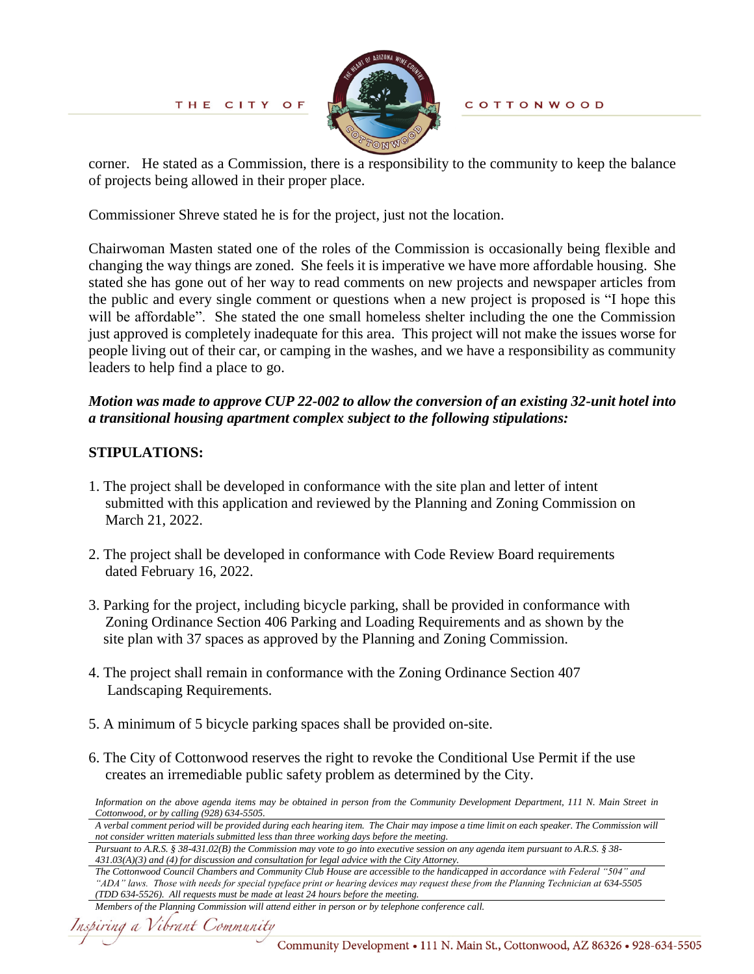

**COTTONWOOD** 

corner. He stated as a Commission, there is a responsibility to the community to keep the balance of projects being allowed in their proper place.

Commissioner Shreve stated he is for the project, just not the location.

Chairwoman Masten stated one of the roles of the Commission is occasionally being flexible and changing the way things are zoned. She feels it is imperative we have more affordable housing. She stated she has gone out of her way to read comments on new projects and newspaper articles from the public and every single comment or questions when a new project is proposed is "I hope this will be affordable". She stated the one small homeless shelter including the one the Commission just approved is completely inadequate for this area. This project will not make the issues worse for people living out of their car, or camping in the washes, and we have a responsibility as community leaders to help find a place to go.

# *Motion was made to approve CUP 22-002 to allow the conversion of an existing 32-unit hotel into a transitional housing apartment complex subject to the following stipulations:*

# **STIPULATIONS:**

- 1. The project shall be developed in conformance with the site plan and letter of intent submitted with this application and reviewed by the Planning and Zoning Commission on March 21, 2022.
- 2. The project shall be developed in conformance with Code Review Board requirements dated February 16, 2022.
- 3. Parking for the project, including bicycle parking, shall be provided in conformance with Zoning Ordinance Section 406 Parking and Loading Requirements and as shown by the site plan with 37 spaces as approved by the Planning and Zoning Commission.
- 4. The project shall remain in conformance with the Zoning Ordinance Section 407 Landscaping Requirements.
- 5. A minimum of 5 bicycle parking spaces shall be provided on-site.
- 6. The City of Cottonwood reserves the right to revoke the Conditional Use Permit if the use creates an irremediable public safety problem as determined by the City.

*Information on the above agenda items may be obtained in person from the Community Development Department, 111 N. Main Street in Cottonwood, or by calling (928) 634-5505.*

*A verbal comment period will be provided during each hearing item. The Chair may impose a time limit on each speaker. The Commission will not consider written materials submitted less than three working days before the meeting.*

*Pursuant to A.R.S. § 38-431.02(B) the Commission may vote to go into executive session on any agenda item pursuant to A.R.S. § 38- 431.03(A)(3) and (4) for discussion and consultation for legal advice with the City Attorney.*

*Members of the Planning Commission will attend either in person or by telephone conference call.*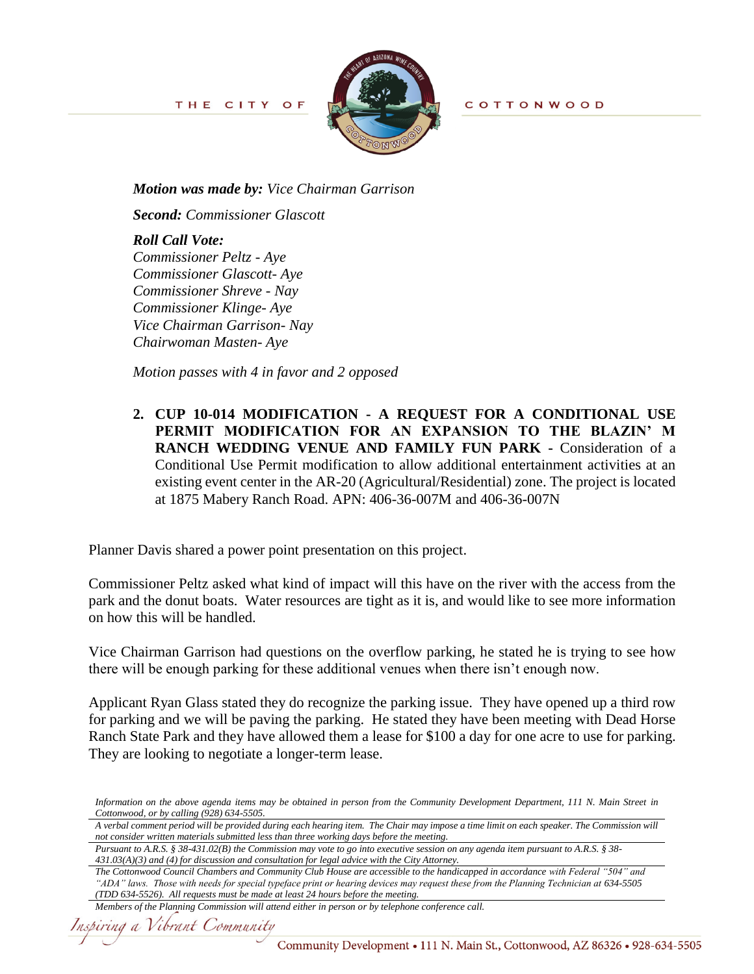

**COTTONWOOD** 

*Motion was made by: Vice Chairman Garrison*

*Second: Commissioner Glascott*

*Roll Call Vote: Commissioner Peltz - Aye Commissioner Glascott- Aye Commissioner Shreve - Nay Commissioner Klinge- Aye Vice Chairman Garrison- Nay Chairwoman Masten- Aye*

*Motion passes with 4 in favor and 2 opposed*

**2. CUP 10-014 MODIFICATION - A REQUEST FOR A CONDITIONAL USE PERMIT MODIFICATION FOR AN EXPANSION TO THE BLAZIN' M RANCH WEDDING VENUE AND FAMILY FUN PARK -** Consideration of a Conditional Use Permit modification to allow additional entertainment activities at an existing event center in the AR-20 (Agricultural/Residential) zone. The project is located at 1875 Mabery Ranch Road. APN: 406-36-007M and 406-36-007N

Planner Davis shared a power point presentation on this project.

Commissioner Peltz asked what kind of impact will this have on the river with the access from the park and the donut boats. Water resources are tight as it is, and would like to see more information on how this will be handled.

Vice Chairman Garrison had questions on the overflow parking, he stated he is trying to see how there will be enough parking for these additional venues when there isn't enough now.

Applicant Ryan Glass stated they do recognize the parking issue. They have opened up a third row for parking and we will be paving the parking. He stated they have been meeting with Dead Horse Ranch State Park and they have allowed them a lease for \$100 a day for one acre to use for parking. They are looking to negotiate a longer-term lease.

*Information on the above agenda items may be obtained in person from the Community Development Department, 111 N. Main Street in Cottonwood, or by calling (928) 634-5505.*

*A verbal comment period will be provided during each hearing item. The Chair may impose a time limit on each speaker. The Commission will not consider written materials submitted less than three working days before the meeting.*

*Pursuant to A.R.S. § 38-431.02(B) the Commission may vote to go into executive session on any agenda item pursuant to A.R.S. § 38- 431.03(A)(3) and (4) for discussion and consultation for legal advice with the City Attorney.*

*The Cottonwood Council Chambers and Community Club House are accessible to the handicapped in accordance with Federal "504" and "ADA" laws. Those with needs for special typeface print or hearing devices may request these from the Planning Technician at 634-5505 (TDD 634-5526). All requests must be made at least 24 hours before the meeting.*

*Members of the Planning Commission will attend either in person or by telephone conference call.*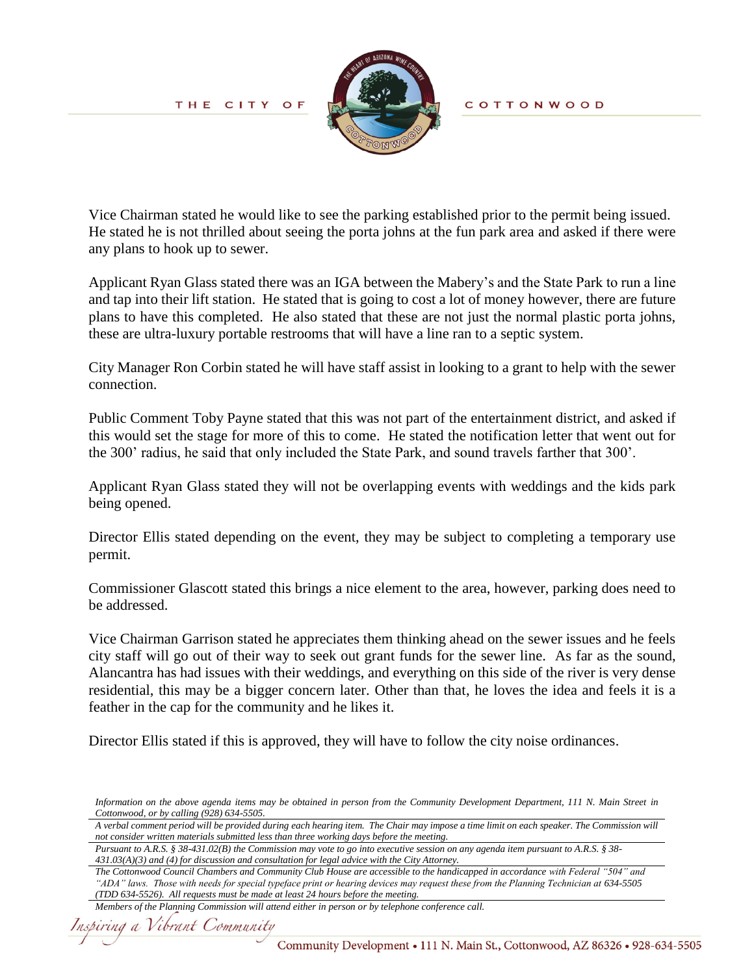

**COTTONWOOD** 

Vice Chairman stated he would like to see the parking established prior to the permit being issued. He stated he is not thrilled about seeing the porta johns at the fun park area and asked if there were any plans to hook up to sewer.

Applicant Ryan Glass stated there was an IGA between the Mabery's and the State Park to run a line and tap into their lift station. He stated that is going to cost a lot of money however, there are future plans to have this completed. He also stated that these are not just the normal plastic porta johns, these are ultra-luxury portable restrooms that will have a line ran to a septic system.

City Manager Ron Corbin stated he will have staff assist in looking to a grant to help with the sewer connection.

Public Comment Toby Payne stated that this was not part of the entertainment district, and asked if this would set the stage for more of this to come. He stated the notification letter that went out for the 300' radius, he said that only included the State Park, and sound travels farther that 300'.

Applicant Ryan Glass stated they will not be overlapping events with weddings and the kids park being opened.

Director Ellis stated depending on the event, they may be subject to completing a temporary use permit.

Commissioner Glascott stated this brings a nice element to the area, however, parking does need to be addressed.

Vice Chairman Garrison stated he appreciates them thinking ahead on the sewer issues and he feels city staff will go out of their way to seek out grant funds for the sewer line. As far as the sound, Alancantra has had issues with their weddings, and everything on this side of the river is very dense residential, this may be a bigger concern later. Other than that, he loves the idea and feels it is a feather in the cap for the community and he likes it.

Director Ellis stated if this is approved, they will have to follow the city noise ordinances.

*Information on the above agenda items may be obtained in person from the Community Development Department, 111 N. Main Street in Cottonwood, or by calling (928) 634-5505.*

*A verbal comment period will be provided during each hearing item. The Chair may impose a time limit on each speaker. The Commission will not consider written materials submitted less than three working days before the meeting.*

*Pursuant to A.R.S. § 38-431.02(B) the Commission may vote to go into executive session on any agenda item pursuant to A.R.S. § 38- 431.03(A)(3) and (4) for discussion and consultation for legal advice with the City Attorney.*

```
Members of the Planning Commission will attend either in person or by telephone conference call.
```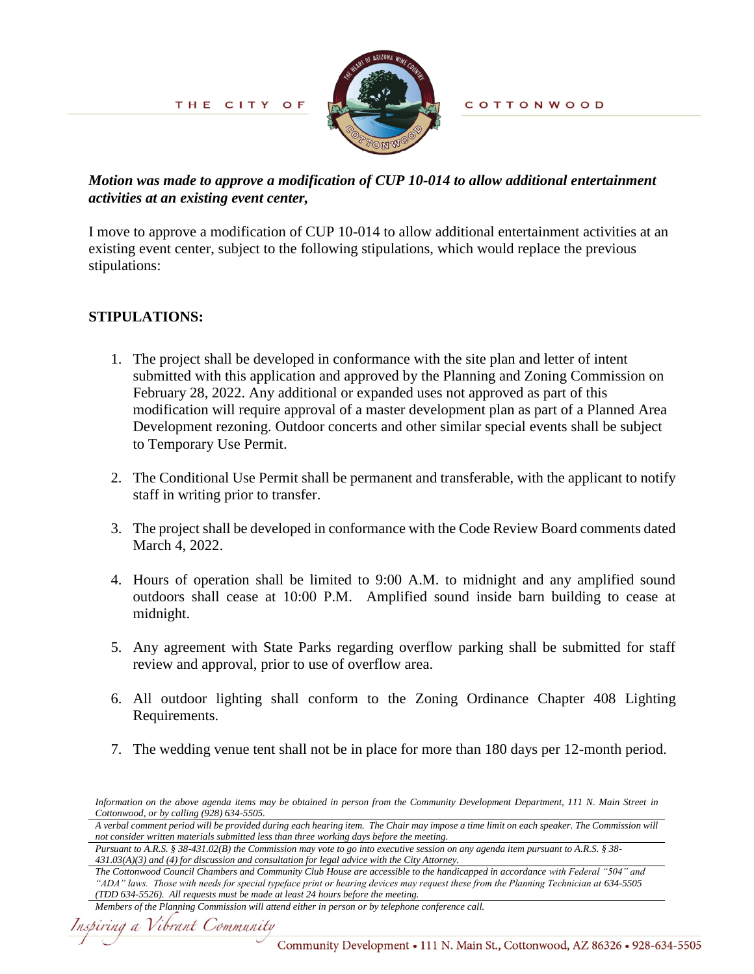

**COTTONWOOD** 

## *Motion was made to approve a modification of CUP 10-014 to allow additional entertainment activities at an existing event center,*

I move to approve a modification of CUP 10-014 to allow additional entertainment activities at an existing event center, subject to the following stipulations, which would replace the previous stipulations:

## **STIPULATIONS:**

- 1. The project shall be developed in conformance with the site plan and letter of intent submitted with this application and approved by the Planning and Zoning Commission on February 28, 2022. Any additional or expanded uses not approved as part of this modification will require approval of a master development plan as part of a Planned Area Development rezoning. Outdoor concerts and other similar special events shall be subject to Temporary Use Permit.
- 2. The Conditional Use Permit shall be permanent and transferable, with the applicant to notify staff in writing prior to transfer.
- 3. The project shall be developed in conformance with the Code Review Board comments dated March 4, 2022.
- 4. Hours of operation shall be limited to 9:00 A.M. to midnight and any amplified sound outdoors shall cease at 10:00 P.M. Amplified sound inside barn building to cease at midnight.
- 5. Any agreement with State Parks regarding overflow parking shall be submitted for staff review and approval, prior to use of overflow area.
- 6. All outdoor lighting shall conform to the Zoning Ordinance Chapter 408 Lighting Requirements.
- 7. The wedding venue tent shall not be in place for more than 180 days per 12-month period.

*Information on the above agenda items may be obtained in person from the Community Development Department, 111 N. Main Street in Cottonwood, or by calling (928) 634-5505.*

*A verbal comment period will be provided during each hearing item. The Chair may impose a time limit on each speaker. The Commission will not consider written materials submitted less than three working days before the meeting.*

*Pursuant to A.R.S. § 38-431.02(B) the Commission may vote to go into executive session on any agenda item pursuant to A.R.S. § 38- 431.03(A)(3) and (4) for discussion and consultation for legal advice with the City Attorney.*

*The Cottonwood Council Chambers and Community Club House are accessible to the handicapped in accordance with Federal "504" and "ADA" laws. Those with needs for special typeface print or hearing devices may request these from the Planning Technician at 634-5505 (TDD 634-5526). All requests must be made at least 24 hours before the meeting.*

*Members of the Planning Commission will attend either in person or by telephone conference call.*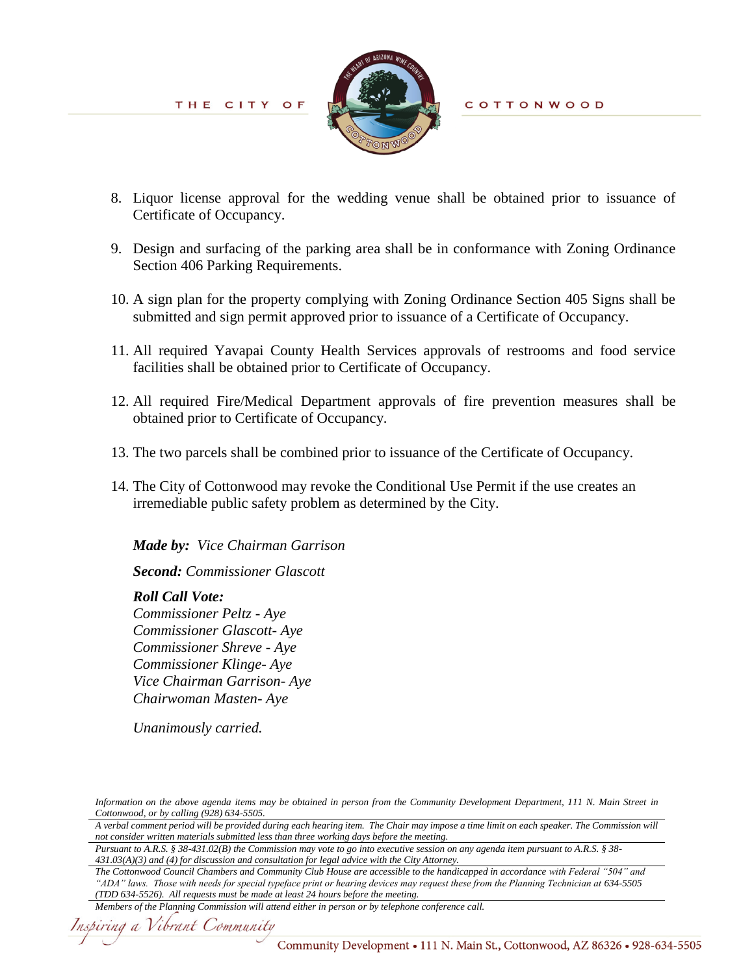

**COTTONWOOD** 

- 8. Liquor license approval for the wedding venue shall be obtained prior to issuance of Certificate of Occupancy.
- 9. Design and surfacing of the parking area shall be in conformance with Zoning Ordinance Section 406 Parking Requirements.
- 10. A sign plan for the property complying with Zoning Ordinance Section 405 Signs shall be submitted and sign permit approved prior to issuance of a Certificate of Occupancy.
- 11. All required Yavapai County Health Services approvals of restrooms and food service facilities shall be obtained prior to Certificate of Occupancy.
- 12. All required Fire/Medical Department approvals of fire prevention measures shall be obtained prior to Certificate of Occupancy.
- 13. The two parcels shall be combined prior to issuance of the Certificate of Occupancy.
- 14. The City of Cottonwood may revoke the Conditional Use Permit if the use creates an irremediable public safety problem as determined by the City.

*Made by: Vice Chairman Garrison*

*Second: Commissioner Glascott*

*Roll Call Vote: Commissioner Peltz - Aye Commissioner Glascott- Aye Commissioner Shreve - Aye Commissioner Klinge- Aye Vice Chairman Garrison- Aye Chairwoman Masten- Aye*

*Unanimously carried.* 

*Information on the above agenda items may be obtained in person from the Community Development Department, 111 N. Main Street in Cottonwood, or by calling (928) 634-5505.*

*Pursuant to A.R.S. § 38-431.02(B) the Commission may vote to go into executive session on any agenda item pursuant to A.R.S. § 38- 431.03(A)(3) and (4) for discussion and consultation for legal advice with the City Attorney.*

```
Members of the Planning Commission will attend either in person or by telephone conference call.
```
*A verbal comment period will be provided during each hearing item. The Chair may impose a time limit on each speaker. The Commission will not consider written materials submitted less than three working days before the meeting.*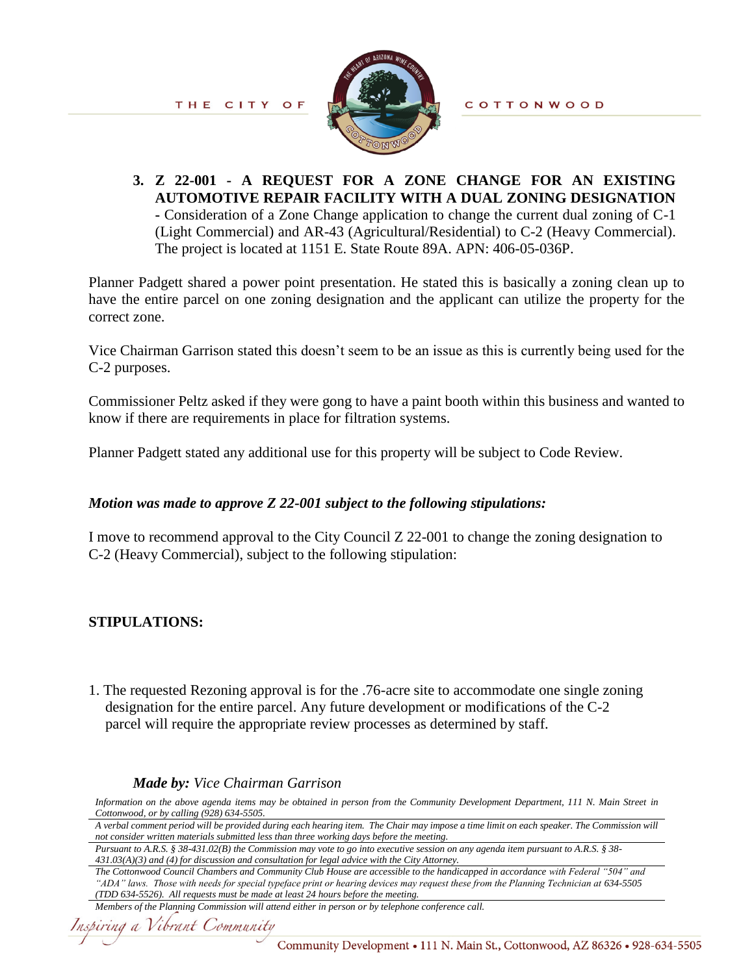

**COTTONWOOD** 

**3. Z 22-001 - A REQUEST FOR A ZONE CHANGE FOR AN EXISTING AUTOMOTIVE REPAIR FACILITY WITH A DUAL ZONING DESIGNATION -** Consideration of a Zone Change application to change the current dual zoning of C-1 (Light Commercial) and AR-43 (Agricultural/Residential) to C-2 (Heavy Commercial). The project is located at 1151 E. State Route 89A. APN: 406-05-036P.

Planner Padgett shared a power point presentation. He stated this is basically a zoning clean up to have the entire parcel on one zoning designation and the applicant can utilize the property for the correct zone.

Vice Chairman Garrison stated this doesn't seem to be an issue as this is currently being used for the C-2 purposes.

Commissioner Peltz asked if they were gong to have a paint booth within this business and wanted to know if there are requirements in place for filtration systems.

Planner Padgett stated any additional use for this property will be subject to Code Review.

## *Motion was made to approve Z 22-001 subject to the following stipulations:*

I move to recommend approval to the City Council Z 22-001 to change the zoning designation to C-2 (Heavy Commercial), subject to the following stipulation:

## **STIPULATIONS:**

1. The requested Rezoning approval is for the .76-acre site to accommodate one single zoning designation for the entire parcel. Any future development or modifications of the C-2 parcel will require the appropriate review processes as determined by staff.

### *Made by: Vice Chairman Garrison*

*Information on the above agenda items may be obtained in person from the Community Development Department, 111 N. Main Street in Cottonwood, or by calling (928) 634-5505.*

*A verbal comment period will be provided during each hearing item. The Chair may impose a time limit on each speaker. The Commission will not consider written materials submitted less than three working days before the meeting.*

*Pursuant to A.R.S. § 38-431.02(B) the Commission may vote to go into executive session on any agenda item pursuant to A.R.S. § 38- 431.03(A)(3) and (4) for discussion and consultation for legal advice with the City Attorney.*

```
Members of the Planning Commission will attend either in person or by telephone conference call.
```